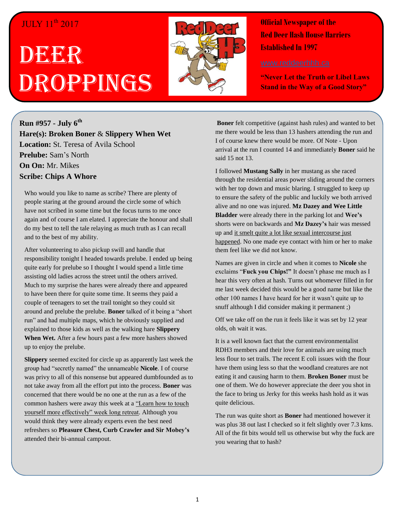## JULY 11<sup>th</sup> 2017

# DEERR Droppings



**Official Newspaper of the Red Deer Hash House Harriers Established In 1997** 

**"Never Let the Truth or Libel Laws Stand in the Way of a Good Story"**

**Run #957 - July 6 th Hare(s): Broken Boner** & **Slippery When Wet Location:** St. Teresa of Avila School **Prelube:** Sam's North **On On:** Mr. Mikes **Scribe: Chips A Whore**

Who would you like to name as scribe? There are plenty of people staring at the ground around the circle some of which have not scribed in some time but the focus turns to me once again and of course I am elated. I appreciate the honour and shall do my best to tell the tale relaying as much truth as I can recall and to the best of my ability.

After volunteering to also pickup swill and handle that responsibility tonight I headed towards prelube. I ended up being quite early for prelube so I thought I would spend a little time assisting old ladies across the street until the others arrived. Much to my surprise the hares were already there and appeared to have been there for quite some time. It seems they paid a couple of teenagers to set the trail tonight so they could sit around and prelube the prelube. **Boner** talked of it being a "short run" and had multiple maps, which he obviously supplied and explained to those kids as well as the walking hare **Slippery When Wet.** After a few hours past a few more hashers showed up to enjoy the prelube.

**Slippery** seemed excited for circle up as apparently last week the group had "secretly named" the unnameable **Nicole**. I of course was privy to all of this nonsense but appeared dumbfounded as to not take away from all the effort put into the process. **Boner** was concerned that there would be no one at the run as a few of the common hashers were away this week at a "Learn how to touch yourself more effectively" week long retreat. Although you would think they were already experts even the best need refreshers so **Pleasure Chest, Curb Crawler and Sir Mobey's** attended their bi-annual campout.

**Boner** felt competitive (against hash rules) and wanted to bet me there would be less than 13 hashers attending the run and I of course knew there would be more. Of Note - Upon arrival at the run I counted 14 and immediately **Boner** said he said 15 not 13.

I followed **Mustang Sally** in her mustang as she raced through the residential areas power sliding around the corners with her top down and music blaring. I struggled to keep up to ensure the safety of the public and luckily we both arrived alive and no one was injured. **Mz Dazey and Wee Little Bladder** were already there in the parking lot and **Wee's**  shorts were on backwards and **Mz Dazey's** hair was messed up and it smelt quite a lot like sexual intercourse just happened. No one made eye contact with him or her to make them feel like we did not know.

Names are given in circle and when it comes to **Nicole** she exclaims "**Fuck you Chips!"** It doesn't phase me much as I hear this very often at hash. Turns out whomever filled in for me last week decided this would be a good name but like the other 100 names I have heard for her it wasn't quite up to snuff although I did consider making it permanent ;)

Off we take off on the run it feels like it was set by 12 year olds, oh wait it was.

It is a well known fact that the current environmentalist RDH3 members and their love for animals are using much less flour to set trails. The recent E coli issues with the flour have them using less so that the woodland creatures are not eating it and causing harm to them. **Broken Boner** must be one of them. We do however appreciate the deer you shot in the face to bring us Jerky for this weeks hash hold as it was quite delicious.

The run was quite short as **Boner** had mentioned however it was plus 38 out last I checked so it felt slightly over 7.3 kms. All of the fit bits would tell us otherwise but why the fuck are you wearing that to hash?